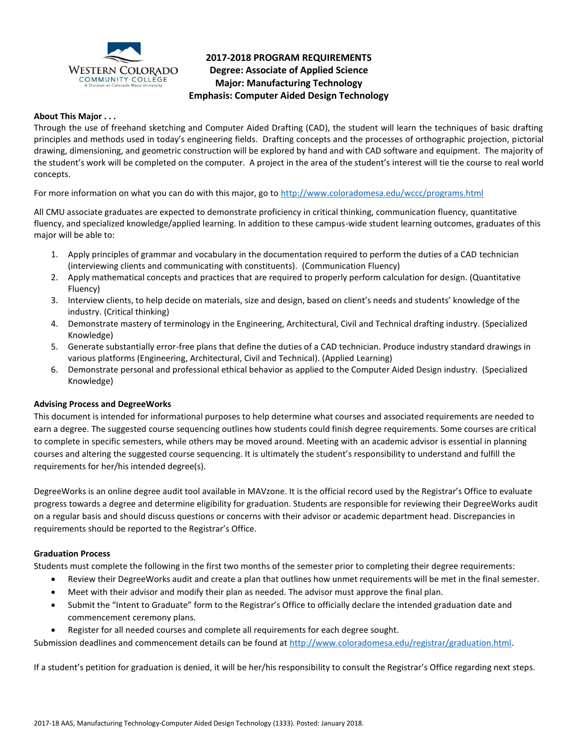

# **2017-2018 PROGRAM REQUIREMENTS Degree: Associate of Applied Science Major: Manufacturing Technology Emphasis: Computer Aided Design Technology**

## **About This Major . . .**

Through the use of freehand sketching and Computer Aided Drafting (CAD), the student will learn the techniques of basic drafting principles and methods used in today's engineering fields. Drafting concepts and the processes of orthographic projection, pictorial drawing, dimensioning, and geometric construction will be explored by hand and with CAD software and equipment. The majority of the student's work will be completed on the computer. A project in the area of the student's interest will tie the course to real world concepts.

For more information on what you can do with this major, go to<http://www.coloradomesa.edu/wccc/programs.html>

All CMU associate graduates are expected to demonstrate proficiency in critical thinking, communication fluency, quantitative fluency, and specialized knowledge/applied learning. In addition to these campus-wide student learning outcomes, graduates of this major will be able to:

- 1. Apply principles of grammar and vocabulary in the documentation required to perform the duties of a CAD technician (interviewing clients and communicating with constituents). (Communication Fluency)
- 2. Apply mathematical concepts and practices that are required to properly perform calculation for design. (Quantitative Fluency)
- 3. Interview clients, to help decide on materials, size and design, based on client's needs and students' knowledge of the industry. (Critical thinking)
- 4. Demonstrate mastery of terminology in the Engineering, Architectural, Civil and Technical drafting industry. (Specialized Knowledge)
- 5. Generate substantially error-free plans that define the duties of a CAD technician. Produce industry standard drawings in various platforms (Engineering, Architectural, Civil and Technical). (Applied Learning)
- 6. Demonstrate personal and professional ethical behavior as applied to the Computer Aided Design industry. (Specialized Knowledge)

# **Advising Process and DegreeWorks**

This document is intended for informational purposes to help determine what courses and associated requirements are needed to earn a degree. The suggested course sequencing outlines how students could finish degree requirements. Some courses are critical to complete in specific semesters, while others may be moved around. Meeting with an academic advisor is essential in planning courses and altering the suggested course sequencing. It is ultimately the student's responsibility to understand and fulfill the requirements for her/his intended degree(s).

DegreeWorks is an online degree audit tool available in MAVzone. It is the official record used by the Registrar's Office to evaluate progress towards a degree and determine eligibility for graduation. Students are responsible for reviewing their DegreeWorks audit on a regular basis and should discuss questions or concerns with their advisor or academic department head. Discrepancies in requirements should be reported to the Registrar's Office.

#### **Graduation Process**

Students must complete the following in the first two months of the semester prior to completing their degree requirements:

- Review their DegreeWorks audit and create a plan that outlines how unmet requirements will be met in the final semester.
- Meet with their advisor and modify their plan as needed. The advisor must approve the final plan.
- Submit the "Intent to Graduate" form to the Registrar's Office to officially declare the intended graduation date and commencement ceremony plans.
- Register for all needed courses and complete all requirements for each degree sought.

Submission deadlines and commencement details can be found at [http://www.coloradomesa.edu/registrar/graduation.html.](http://www.coloradomesa.edu/registrar/graduation.html)

If a student's petition for graduation is denied, it will be her/his responsibility to consult the Registrar's Office regarding next steps.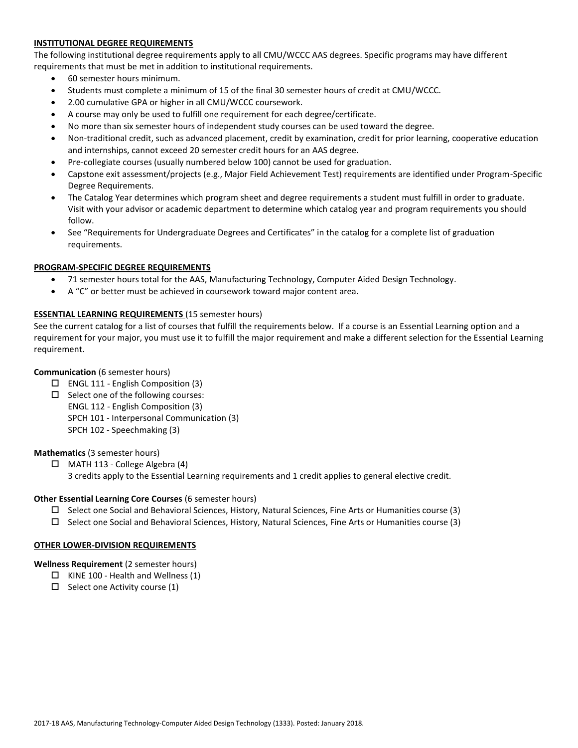# **INSTITUTIONAL DEGREE REQUIREMENTS**

The following institutional degree requirements apply to all CMU/WCCC AAS degrees. Specific programs may have different requirements that must be met in addition to institutional requirements.

- 60 semester hours minimum.
- Students must complete a minimum of 15 of the final 30 semester hours of credit at CMU/WCCC.
- 2.00 cumulative GPA or higher in all CMU/WCCC coursework.
- A course may only be used to fulfill one requirement for each degree/certificate.
- No more than six semester hours of independent study courses can be used toward the degree.
- Non-traditional credit, such as advanced placement, credit by examination, credit for prior learning, cooperative education and internships, cannot exceed 20 semester credit hours for an AAS degree.
- Pre-collegiate courses (usually numbered below 100) cannot be used for graduation.
- Capstone exit assessment/projects (e.g., Major Field Achievement Test) requirements are identified under Program-Specific Degree Requirements.
- The Catalog Year determines which program sheet and degree requirements a student must fulfill in order to graduate. Visit with your advisor or academic department to determine which catalog year and program requirements you should follow.
- See "Requirements for Undergraduate Degrees and Certificates" in the catalog for a complete list of graduation requirements.

## **PROGRAM-SPECIFIC DEGREE REQUIREMENTS**

- 71 semester hours total for the AAS, Manufacturing Technology, Computer Aided Design Technology.
- A "C" or better must be achieved in coursework toward major content area.

## **ESSENTIAL LEARNING REQUIREMENTS** (15 semester hours)

See the current catalog for a list of courses that fulfill the requirements below. If a course is an Essential Learning option and a requirement for your major, you must use it to fulfill the major requirement and make a different selection for the Essential Learning requirement.

#### **Communication** (6 semester hours)

- $\Box$  ENGL 111 English Composition (3)
- $\square$  Select one of the following courses: ENGL 112 - English Composition (3) SPCH 101 - Interpersonal Communication (3) SPCH 102 - Speechmaking (3)

#### **Mathematics** (3 semester hours)

 $\Box$  MATH 113 - College Algebra (4) 3 credits apply to the Essential Learning requirements and 1 credit applies to general elective credit.

## **Other Essential Learning Core Courses** (6 semester hours)

- $\square$  Select one Social and Behavioral Sciences, History, Natural Sciences, Fine Arts or Humanities course (3)
- $\square$  Select one Social and Behavioral Sciences, History, Natural Sciences, Fine Arts or Humanities course (3)

#### **OTHER LOWER-DIVISION REQUIREMENTS**

**Wellness Requirement** (2 semester hours)

- $\Box$  KINE 100 Health and Wellness (1)
- $\Box$  Select one Activity course (1)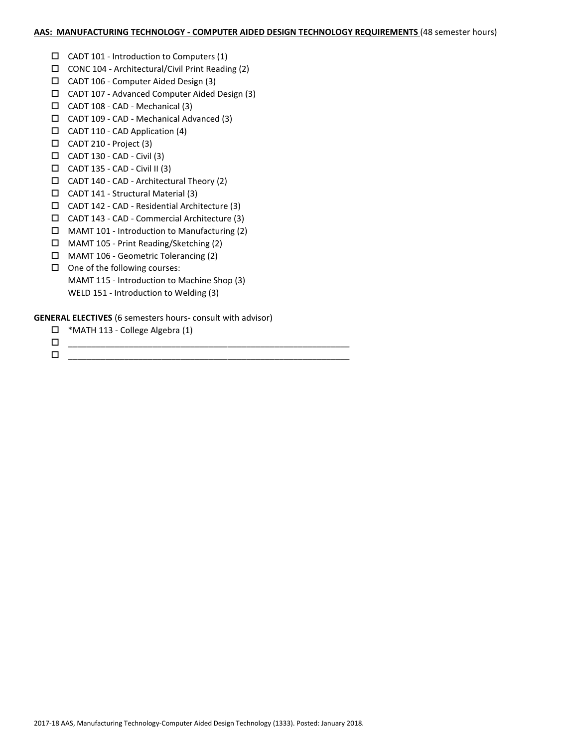## **AAS: MANUFACTURING TECHNOLOGY - COMPUTER AIDED DESIGN TECHNOLOGY REQUIREMENTS** (48 semester hours)

- $\Box$  CADT 101 Introduction to Computers (1)
- CONC 104 Architectural/Civil Print Reading (2)
- $\Box$  CADT 106 Computer Aided Design (3)
- CADT 107 Advanced Computer Aided Design (3)
- $\Box$  CADT 108 CAD Mechanical (3)
- CADT 109 CAD Mechanical Advanced (3)
- $\Box$  CADT 110 CAD Application (4)
- $\Box$  CADT 210 Project (3)
- $\Box$  CADT 130 CAD Civil (3)
- $\Box$  CADT 135 CAD Civil II (3)
- CADT 140 CAD Architectural Theory (2)
- CADT 141 Structural Material (3)
- CADT 142 CAD Residential Architecture (3)
- CADT 143 CAD Commercial Architecture (3)
- $\Box$  MAMT 101 Introduction to Manufacturing (2)
- MAMT 105 Print Reading/Sketching (2)
- MAMT 106 Geometric Tolerancing (2)
- $\Box$  One of the following courses: MAMT 115 - Introduction to Machine Shop (3) WELD 151 - Introduction to Welding (3)

# **GENERAL ELECTIVES** (6 semesters hours- consult with advisor)

- \*MATH 113 College Algebra (1)
- \_\_\_\_\_\_\_\_\_\_\_\_\_\_\_\_\_\_\_\_\_\_\_\_\_\_\_\_\_\_\_\_\_\_\_\_\_\_\_\_\_\_\_\_\_\_\_\_\_\_\_\_\_\_\_\_\_\_\_\_